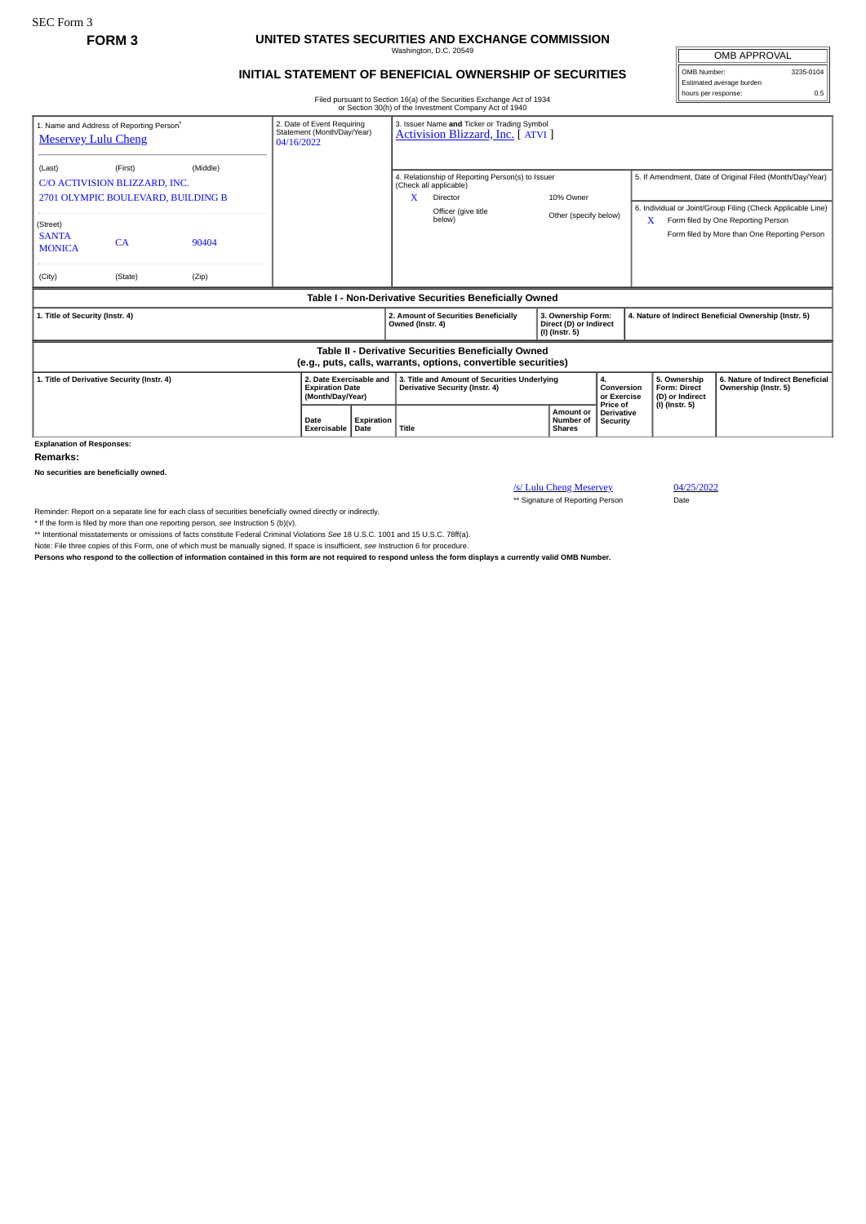## **FORM 3 UNITED STATES SECURITIES AND EXCHANGE COMMISSION** Washington, D.C. 20549

**INITIAL STATEMENT OF BENEFICIAL OWNERSHIP OF SECURITIES**

Filed pursuant to Section 16(a) of the Securities Exchange Act of 1934 or Section 30(h) of the Investment Company Act of 1940

| <b>OMB APPROVAL</b>      |           |  |  |  |  |  |  |
|--------------------------|-----------|--|--|--|--|--|--|
| OMB Number:              | 3235-0104 |  |  |  |  |  |  |
| Estimated average burden |           |  |  |  |  |  |  |
| hours per response:      |           |  |  |  |  |  |  |

|                                                                                                                                                              |                                                                                |          |                                                                                                                          |                   |                                                                                                                                 | or Section 30(11) or the investment Company Act or 1940 |                                                                |                                                          |                                                                                                                         |                                                       |                                                                                    |  |
|--------------------------------------------------------------------------------------------------------------------------------------------------------------|--------------------------------------------------------------------------------|----------|--------------------------------------------------------------------------------------------------------------------------|-------------------|---------------------------------------------------------------------------------------------------------------------------------|---------------------------------------------------------|----------------------------------------------------------------|----------------------------------------------------------|-------------------------------------------------------------------------------------------------------------------------|-------------------------------------------------------|------------------------------------------------------------------------------------|--|
| 2. Date of Event Requiring<br>1. Name and Address of Reporting Person <sup>*</sup><br>Statement (Month/Day/Year)<br><b>Meservey Lulu Cheng</b><br>04/16/2022 |                                                                                |          |                                                                                                                          |                   | 3. Issuer Name and Ticker or Trading Symbol<br>Activision Blizzard, Inc. [ ATVI ]                                               |                                                         |                                                                |                                                          |                                                                                                                         |                                                       |                                                                                    |  |
| (Last)                                                                                                                                                       | (First)<br>C/O ACTIVISION BLIZZARD, INC.<br>2701 OLYMPIC BOULEVARD, BUILDING B | (Middle) |                                                                                                                          |                   | 4. Relationship of Reporting Person(s) to Issuer<br>(Check all applicable)<br>X<br>10% Owner<br>Director<br>Officer (give title |                                                         |                                                                |                                                          | 5. If Amendment, Date of Original Filed (Month/Day/Year)<br>6. Individual or Joint/Group Filing (Check Applicable Line) |                                                       |                                                                                    |  |
| (Street)<br><b>SANTA</b><br><b>MONICA</b>                                                                                                                    | CA                                                                             | 90404    |                                                                                                                          |                   |                                                                                                                                 | below)                                                  | Other (specify below)                                          |                                                          |                                                                                                                         | x                                                     | Form filed by One Reporting Person<br>Form filed by More than One Reporting Person |  |
| (City)                                                                                                                                                       | (State)                                                                        | (Zip)    |                                                                                                                          |                   |                                                                                                                                 |                                                         |                                                                |                                                          |                                                                                                                         |                                                       |                                                                                    |  |
| Table I - Non-Derivative Securities Beneficially Owned                                                                                                       |                                                                                |          |                                                                                                                          |                   |                                                                                                                                 |                                                         |                                                                |                                                          |                                                                                                                         |                                                       |                                                                                    |  |
| 1. Title of Security (Instr. 4)                                                                                                                              |                                                                                |          |                                                                                                                          |                   | Owned (Instr. 4)                                                                                                                | 2. Amount of Securities Beneficially                    | 3. Ownership Form:<br>Direct (D) or Indirect<br>(I) (Instr. 5) |                                                          |                                                                                                                         | 4. Nature of Indirect Beneficial Ownership (Instr. 5) |                                                                                    |  |
| Table II - Derivative Securities Beneficially Owned<br>(e.g., puts, calls, warrants, options, convertible securities)                                        |                                                                                |          |                                                                                                                          |                   |                                                                                                                                 |                                                         |                                                                |                                                          |                                                                                                                         |                                                       |                                                                                    |  |
| 2. Date Exercisable and<br>1. Title of Derivative Security (Instr. 4)<br><b>Expiration Date</b><br>(Month/Day/Year)                                          |                                                                                |          | 3. Title and Amount of Securities Underlying<br>4.<br>Conversion<br><b>Derivative Security (Instr. 4)</b><br>or Exercise |                   |                                                                                                                                 | 5. Ownership<br>Form: Direct<br>(D) or Indirect         |                                                                | 6. Nature of Indirect Beneficial<br>Ownership (Instr. 5) |                                                                                                                         |                                                       |                                                                                    |  |
|                                                                                                                                                              |                                                                                |          | Date<br>Exercisable Date                                                                                                 | <b>Expiration</b> | Title                                                                                                                           |                                                         | Amount or<br>Number of<br><b>Shares</b>                        | Price of<br><b>Derivative</b><br>Security                |                                                                                                                         | $(I)$ (Instr. 5)                                      |                                                                                    |  |

**Explanation of Responses:**

**Remarks:**

**No securities are beneficially owned.**

/s/ Lulu Cheng Meservey 04/25/2022 \*\* Signature of Reporting Person Date

Reminder: Report on a separate line for each class of securities beneficially owned directly or indirectly.

\* If the form is filed by more than one reporting person, *see* Instruction 5 (b)(v).

\*\* Intentional misstatements or omissions of facts constitute Federal Criminal Violations *See* 18 U.S.C. 1001 and 15 U.S.C. 78ff(a). Note: File three copies of this Form, one of which must be manually signed. If space is insufficient, *see* Instruction 6 for procedure.

**Persons who respond to the collection of information contained in this form are not required to respond unless the form displays a currently valid OMB Number.**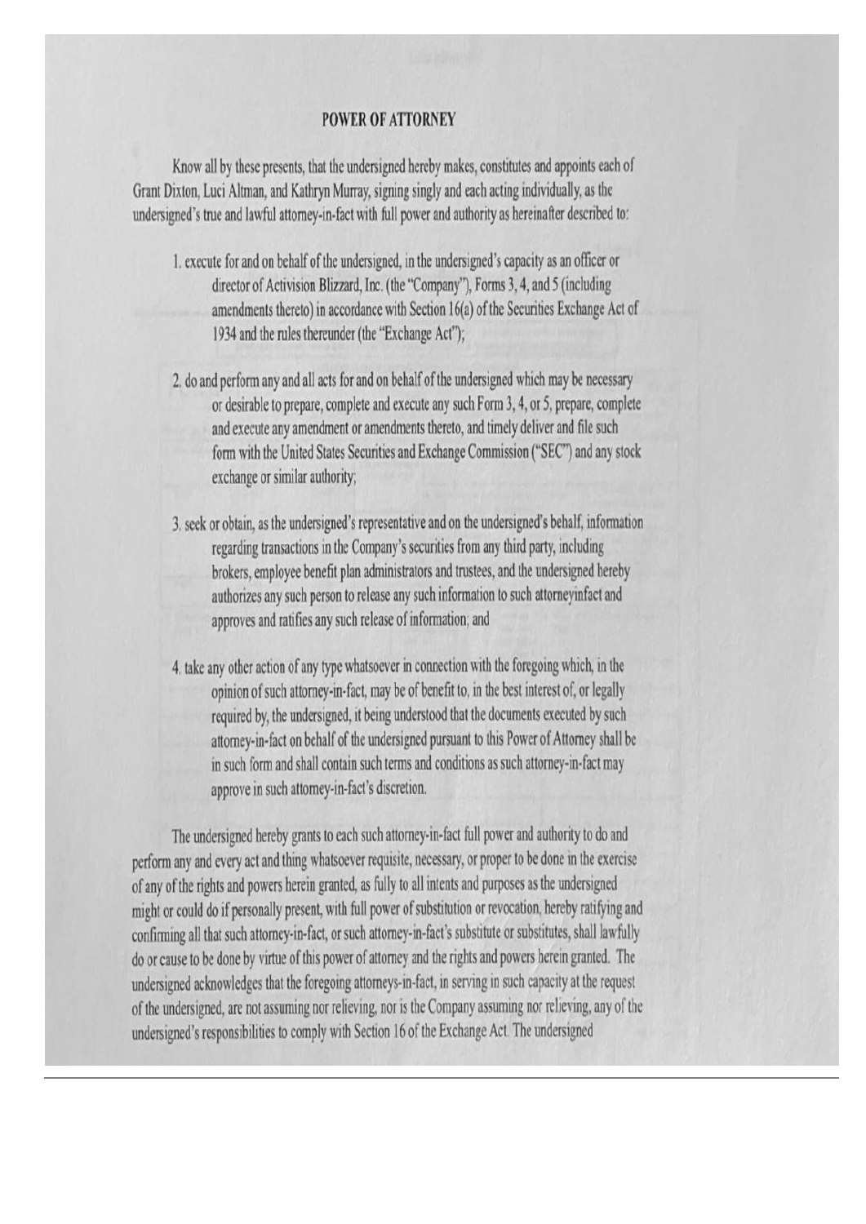## **POWER OF ATTORNEY**

Know all by these presents, that the undersigned hereby makes, constitutes and appoints each of Grant Dixton, Luci Altman, and Kathryn Murray, signing singly and each acting individually, as the undersigned's true and lawful attorney-in-fact with full power and authority as hereinafter described to:

- 1. execute for and on behalf of the undersigned, in the undersigned's capacity as an officer or director of Activision Blizzard, Inc. (the "Company"), Forms 3, 4, and 5 (including amendments thereto) in accordance with Section 16(a) of the Securities Exchange Act of 1934 and the rules thereunder (the "Exchange Act");
- 2. do and perform any and all acts for and on behalf of the undersigned which may be necessary or desirable to prepare, complete and execute any such Form 3, 4, or 5, prepare, complete and execute any amendment or amendments thereto, and timely deliver and file such form with the United States Securities and Exchange Commission ("SEC") and any stock exchange or similar authority;
- 3. seek or obtain, as the undersigned's representative and on the undersigned's behalf, information regarding transactions in the Company's securities from any third party, including brokers, employee benefit plan administrators and trustees, and the undersigned hereby authorizes any such person to release any such information to such attorneyinfact and approves and ratifies any such release of information; and
- 4. take any other action of any type whatsoever in connection with the foregoing which, in the opinion of such attorney-in-fact, may be of benefit to, in the best interest of, or legally required by, the undersigned, it being understood that the documents executed by such attorney-in-fact on behalf of the undersigned pursuant to this Power of Attorney shall be in such form and shall contain such terms and conditions as such attorney-in-fact may approve in such attorney-in-fact's discretion.

The undersigned hereby grants to each such attorney-in-fact full power and authority to do and perform any and every act and thing whatsoever requisite, necessary, or proper to be done in the exercise of any of the rights and powers herein granted, as fully to all intents and purposes as the undersigned might or could do if personally present, with full power of substitution or revocation, hereby ratifying and confirming all that such attorney-in-fact, or such attorney-in-fact's substitute or substitutes, shall lawfully do or cause to be done by virtue of this power of attorney and the rights and powers herein granted. The undersigned acknowledges that the foregoing attorneys-in-fact, in serving in such capacity at the request of the undersigned, are not assuming nor relieving, nor is the Company assuming nor relieving, any of the undersigned's responsibilities to comply with Section 16 of the Exchange Act. The undersigned